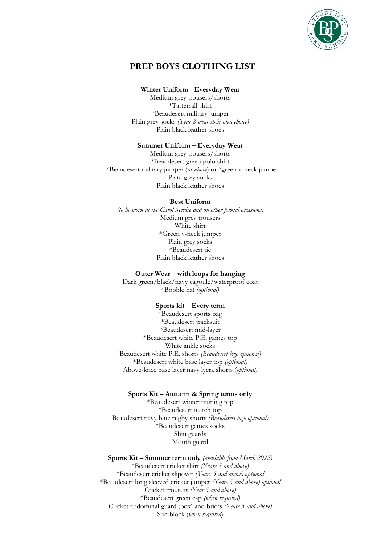

# **PREP BOYS CLOTHING LIST**

## **Winter Uniform - Everyday Wear**

Medium grey trousers/shorts \*Tattersall shirt \*Beaudesert military jumper Plain grey socks *(Year 8 wear their own choice)* Plain black leather shoes

## **Summer Uniform – Everyday Wear**

Medium grey trousers/shorts \*Beaudesert green polo shirt \*Beaudesert military jumper (*as above*) or \*green v-neck jumper Plain grey socks Plain black leather shoes

#### **Best Uniform**

*(to be worn at the Carol Service and on other formal occasions)* Medium grey trousers White shirt \*Green v-neck jumper Plain grey socks \*Beaudesert tie Plain black leather shoes

#### **Outer Wear – with loops for hanging**

Dark green/black/navy cagoule/waterproof coat \*Bobble hat *(optional)*

## **Sports kit – Every term**

\*Beaudesert sports bag \*Beaudesert tracksuit \*Beaudesert mid-layer \*Beaudesert white P.E. games top White ankle socks Beaudesert white P.E. shorts *(Beaudesert logo optional)* \*Beaudesert white base layer top *(optional)* Above-knee base layer navy lycra shorts (*optional)*

## **Sports Kit – Autumn & Spring terms only**

\*Beaudesert winter training top \*Beaudesert match top Beaudesert navy blue rugby shorts *(Beaudesert logo optional)* \*Beaudesert games socks Shin guards Mouth guard

**Sports Kit – Summer term only** *(available from March 2022)* \*Beaudesert cricket shirt *(Years 5 and above)* \*Beaudesert cricket slipover *(Years 5 and above) optional* \*Beaudesert long sleeved cricket jumper *(Years 5 and above) optional* Cricket trousers *(Year 5 and above)* \*Beaudesert green cap *(when required)* Cricket abdominal guard (box) and briefs *(Years 5 and above)* Sun block (*when required*)